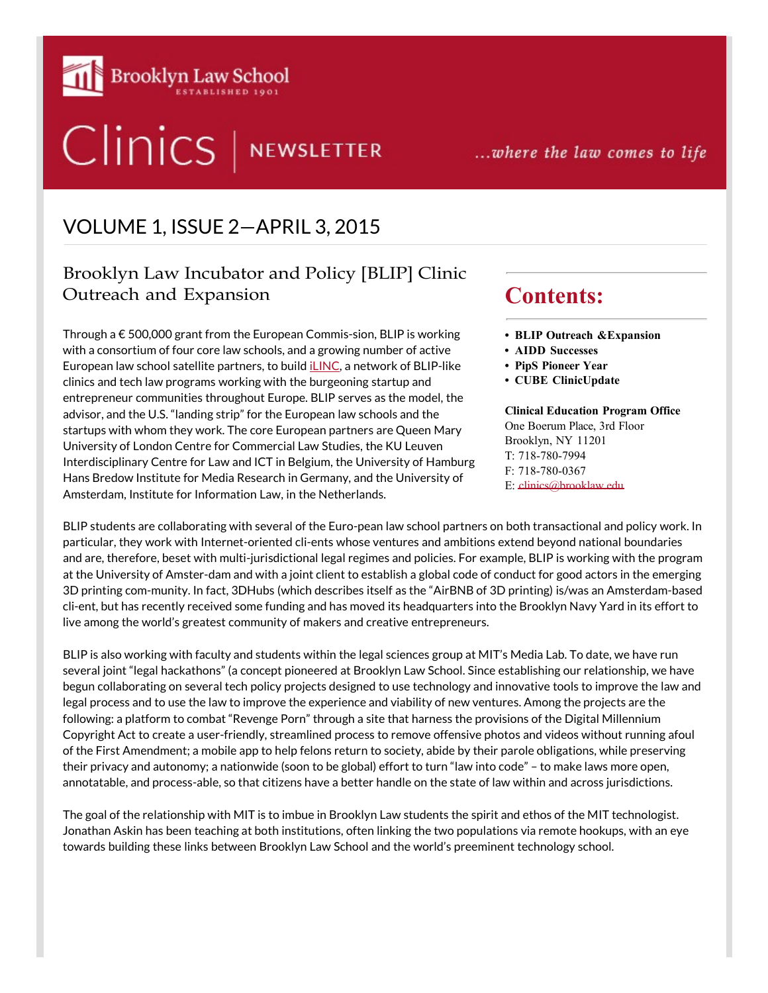

# Clinics | NEWSLETTER

...where the law comes to life

## VOLUME 1, ISSUE 2—APRIL 3, 2015

## Brooklyn Law Incubator and Policy [BLIP] Clinic Outreach and Expansion

Through a € 500,000 grant from the European Commis-sion, BLIP is working with a consortium of four core law schools, and a growing number of active European law school satellite partners, to build [iLINC,](https://www.ilincnetwork.eu/) a network of BLIP-like clinics and tech law programs working with the burgeoning startup and entrepreneur communities throughout Europe. BLIP serves as the model, the advisor, and the U.S. "landing strip" for the European law schools and the startups with whom they work. The core European partners are Queen Mary University of London Centre for Commercial Law Studies, the KU Leuven Interdisciplinary Centre for Law and ICT in Belgium, the University of Hamburg Hans Bredow Institute for Media Research in Germany, and the University of Amsterdam, Institute for Information Law, in the Netherlands.

# **Contents:**

- **• BLIP Outreach &Expansion**
- **• AIDD Successes**
- **• PipS Pioneer Year**
- **• CUBE ClinicUpdate**

#### **Clinical Education Program Office** One Boerum Place, 3rd Floor Brooklyn, NY 11201 T: 718-780-7994 F: 718-780-0367

E: [clinics@brooklaw.edu](mailto:clinics@brooklaw.edu)

BLIP students are collaborating with several of the Euro-pean law school partners on both transactional and policy work. In particular, they work with Internet-oriented cli-ents whose ventures and ambitions extend beyond national boundaries and are, therefore, beset with multi-jurisdictional legal regimes and policies. For example, BLIP is working with the program at the University of Amster-dam and with a joint client to establish a global code of conduct for good actors in the emerging 3D printing com-munity. In fact, 3DHubs (which describes itself as the "AirBNB of 3D printing) is/was an Amsterdam-based cli-ent, but has recently received some funding and has moved its headquarters into the Brooklyn Navy Yard in its effort to live among the world's greatest community of makers and creative entrepreneurs.

BLIP is also working with faculty and students within the legal sciences group at MIT's Media Lab. To date, we have run several joint "legal hackathons" (a concept pioneered at Brooklyn Law School. Since establishing our relationship, we have begun collaborating on several tech policy projects designed to use technology and innovative tools to improve the law and legal process and to use the law to improve the experience and viability of new ventures. Among the projects are the following: a platform to combat "Revenge Porn" through a site that harness the provisions of the Digital Millennium Copyright Act to create a user-friendly, streamlined process to remove offensive photos and videos without running afoul of the First Amendment; a mobile app to help felons return to society, abide by their parole obligations, while preserving their privacy and autonomy; a nationwide (soon to be global) effort to turn "law into code" – to make laws more open, annotatable, and process-able, so that citizens have a better handle on the state of law within and across jurisdictions.

The goal of the relationship with MIT is to imbue in Brooklyn Law students the spirit and ethos of the MIT technologist. Jonathan Askin has been teaching at both institutions, often linking the two populations via remote hookups, with an eye towards building these links between Brooklyn Law School and the world's preeminent technology school.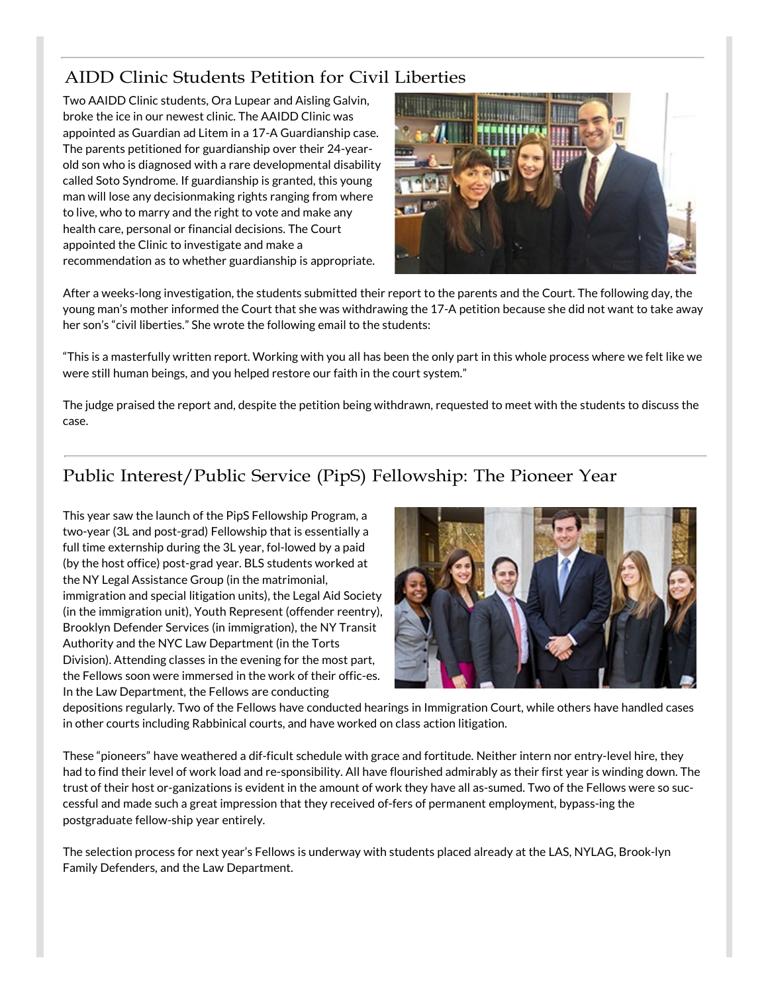## AIDD Clinic Students Petition for Civil Liberties

Two AAIDD Clinic students, Ora Lupear and Aisling Galvin, broke the ice in our newest clinic. The AAIDD Clinic was appointed as Guardian ad Litem in a 17-A Guardianship case. The parents petitioned for guardianship over their 24-yearold son who is diagnosed with a rare developmental disability called Soto Syndrome. If guardianship is granted, this young man will lose any decisionmaking rights ranging from where to live, who to marry and the right to vote and make any health care, personal or financial decisions. The Court appointed the Clinic to investigate and make a recommendation as to whether guardianship is appropriate.



After a weeks-long investigation, the students submitted their report to the parents and the Court. The following day, the young man's mother informed the Court that she was withdrawing the 17-A petition because she did not want to take away her son's "civil liberties." She wrote the following email to the students:

"This is a masterfully written report. Working with you all has been the only part in this whole process where we felt like we were still human beings, and you helped restore our faith in the court system."

The judge praised the report and, despite the petition being withdrawn, requested to meet with the students to discuss the case.

## Public Interest/Public Service (PipS) Fellowship: The Pioneer Year

This year saw the launch of the PipS Fellowship Program, a two-year (3L and post-grad) Fellowship that is essentially a full time externship during the 3L year, fol-lowed by a paid (by the host office) post-grad year. BLS students worked at the NY Legal Assistance Group (in the matrimonial, immigration and special litigation units), the Legal Aid Society (in the immigration unit), Youth Represent (offender reentry), Brooklyn Defender Services (in immigration), the NY Transit Authority and the NYC Law Department (in the Torts Division). Attending classes in the evening for the most part, the Fellows soon were immersed in the work of their offic-es. In the Law Department, the Fellows are conducting



depositions regularly. Two of the Fellows have conducted hearings in Immigration Court, while others have handled cases in other courts including Rabbinical courts, and have worked on class action litigation.

These "pioneers" have weathered a dif-ficult schedule with grace and fortitude. Neither intern nor entry-level hire, they had to find their level of work load and re-sponsibility. All have flourished admirably as their first year is winding down. The trust of their host or-ganizations is evident in the amount of work they have all as-sumed. Two of the Fellows were so successful and made such a great impression that they received of-fers of permanent employment, bypass-ing the postgraduate fellow-ship year entirely.

The selection process for next year's Fellows is underway with students placed already at the LAS, NYLAG, Brook-lyn Family Defenders, and the Law Department.